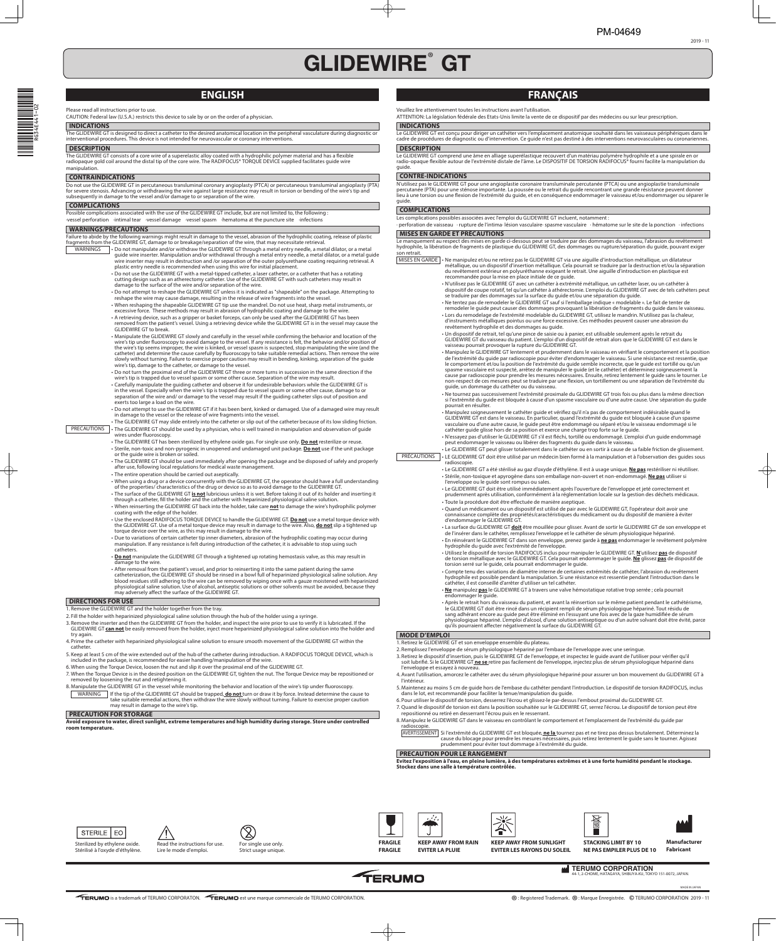# **GLIDEWIRE**®  **GT**

Sterilized by ethylene oxide. Stérilisé à l'oxyde d'éthylène.



Read the instructions for use. Lire le mode d'emploi.

> **TERUMO CORPORATION** KYO 151-0072, JAPAN.



For single use only. Strict usage unique.





**Manufacturer Fabricant**



**FRAGILE FRAGILE**



**KEEP AWAY FROM RAIN EVITER LA PLUIE**

**KEEP AWAY FROM SUNLIGHT EVITER LES RAYONS DU SOLEIL** **STACKING LIMIT BY 10 NE PAS EMPILER PLUS DE 10**







2019 - 11

# **ENGLISH**

The GLIDEWIRE GT consists of a core wire of a superelastic alloy coated with a hydrophilic polymer material and has a flexible radiopaque gold coil around the distal tip of the core wire. The RADIFOCUS® TORQUE DEVICE supplied facilitates guide wire manipulation.

## Please read all instructions prior to use.

CAUTION: Federal law (U.S.A.) restricts this device to sale by or on the order of a physician.

## **INDICATIONS**

The GLIDEWIRE GT is designed to direct a catheter to the desired anatomical location in the peripheral vasculature during diagnostic or interventional procedures. This device is not intended for neurovascular or coronary interventions.

## **DESCRIPTION**

## **CONTRAINDICATIONS**

Do not use the GLIDEWIRE GT in percutaneous transluminal coronary angioplasty (PTCA) or percutaneous transluminal angioplasty (PTA) for severe stenosis. Advancing or withdrawing the wire against large resistance may result in torsion or bending of the wire's tip and subsequently in damage to the vessel and/or damage to or separation of the wire.

## **COMPLICATIONS**

Possible complications associated with the use of the GLIDEWIRE GT include, but are not limited to, the following : ·vessel perforation ·intimal tear ·vessel damage ·vessel spasm ·hematoma at the puncture site ·infections

## **WARNINGS/PRECAUTIONS**

Failure to abide by the following warnings might result in damage to the vessel, abrasion of the hydrophilic coating, release of plastic fragments from the GLIDEWIRE GT, damage to or breakage/separation of the wire, that may necessitate retrieval.

> catheterization, the GLIDEWIRE GT should be rinsed in a bowl full of heparinized physiological saline solution. Any blood residues still adhering to the wire can be removed by wiping once with a gauze moistened with heparinized physiological saline solution. Use of alcohol, antiseptic solutions or other solvents must be avoided, because they may adversely affect the surface of the GLIDEWIRE GT.

- WARNINGS Do not manipulate and/or withdraw the GLIDEWIRE GT through a metal entry needle, a metal dilator, or a metal guide wire inserter. Manipulation and/or withdrawal through a metal entry needle, a metal dilator, or a metal guide wire inserter may result in destruction and /or separation of the outer polyurethane coating requiring retrieval. A plastic entry needle is recommended when using this wire for initial placement.
	- Do not use the GLIDEWIRE GT with a metal-tipped catheter, a laser catheter, or a catheter that has a rotating cutting design such as an atherectomy catheter. Use of the GLIDEWIRE GT with such catheters may result in damage to the surface of the wire and/or separation of the wire.
	- Do not attempt to reshape the GLIDEWIRE GT unless it is indicated as "shapeable" on the package. Attempting to reshape the wire may cause damage, resulting in the release of wire fragments into the vessel.
	- When reshaping the shapeable GLIDEWIRE GT tip use the mandrel. Do not use heat, sharp metal instruments, or excessive force. These methods may result in abrasion of hydrophilic coating and damage to the wire.
	- A retrieving device, such as a gripper or basket forceps, can only be used after the GLIDEWIRE GT has been removed from the patient's vessel. Using a retrieving device while the GLIDEWIRE GT is in the vessel may cause the GLIDEWIRE GT to break.
	- Manipulate the GLIDEWIRE GT slowly and carefully in the vessel while confirming the behavior and location of the wire's tip under fluoroscopy to avoid damage to the vessel. If any resistance is felt, the behavior and/or position of the wire's tip seems improper, the wire is kinked, or vessel spasm is suspected, stop manipulating the wire (and the catheter) and determine the cause carefully by fluoroscopy to take suitable remedial actions. Then remove the wire slowly without turning. Failure to exercise proper caution may result in bending, kinking, separation of the guide wire's tip, damage to the catheter, or damage to the vessel.
	- Do not turn the proximal end of the GLIDEWIRE GT three or more turns in succession in the same direction if the wire's tip is trapped due to vessel spasm or some other cause. Separation of the wire may result.
	- Carefully manipulate the guiding catheter and observe it for undesirable behaviors while the GLIDEWIRE GT is in the vessel. Especially when the wire's tip is trapped due to vessel spasm or some other cause, damage to or separation of the wire and/ or damage to the vessel may result if the guiding catheter slips out of position and exerts too large a load on the wire.
	- Do not attempt to use the GLIDEWIRE GT if it has been bent, kinked or damaged. Use of a damaged wire may result in damage to the vessel or the release of wire fragments into the vessel.
	- The GLIDEWIRE GT may slide entirely into the catheter or slip out of the catheter because of its low sliding friction.
- PRECAUTIONS The GLIDEWIRE GT should be used by a physician, who is well trained in manipulation and observation of guide wires under fluoroscopy.
	- The GLIDEWIRE GT has been sterilized by ethylene oxide gas. For single use only. **Do not** resterilize or reuse. • Sterile, non-toxic and non-pyrogenic in unopened and undamaged unit package. **Do not** use if the unit package or the guide wire is broken or soiled.
	- The GLIDEWIRE GT should be used immediately after opening the package and be disposed of safely and properly after use, following local regulations for medical waste management.
	- The entire operation should be carried out aseptically.
	- When using a drug or a device concurrently with the GLIDEWIRE GT, the operator should have a full understanding of the properties/ characteristics of the drug or device so as to avoid damage to the GLIDEWIRE GT.
	- The surface of the GLIDEWIRE GT **is not** lubricious unless it is wet. Before taking it out of its holder and inserting it through a catheter, fill the holder and the catheter with heparinized physiological saline solution.
	- When reinserting the GLIDEWIRE GT back into the holder, take care **not** to damage the wire's hydrophilic polymer coating with the edge of the holder.
	- Use the enclosed RADIFOCUS TORQUE DEVICE to handle the GLIDEWIRE GT. **Do not** use a metal torque device with the GLIDEWIRE GT. Use of a metal torque device may result in damage to the wire. Also, **do not** slip a tightened up torque device over the wire, as this may result in damage to the wire.
	- Due to variations of certain catheter tip inner diameters, abrasion of the hydrophilic coating may occur during manipulation. If any resistance is felt during introduction of the catheter, it is advisable to stop using such catheters.
	- **Do not** manipulate the GLIDEWIRE GT through a tightened up rotating hemostasis valve, as this may result in damage to the wire.
	- After removal from the patient's vessel, and prior to reinserting it into the same patient during the same
- MISES EN GARDE Ne manipulez et/ou ne retirez pas le GLIDEWIRE GT via une aiguille d'introduction métallique, un dilatateur métallique, ou un dispositif d'insertion métallique. Cela pourrait se traduire par la destruction et/ou la séparation du revêtement extérieur en polyuréthanne exigeant le retrait. Une aiguille d'introduction en plastique est recommandée pour la mise en place initiale de ce guide.
	- N'utilisez pas le GLIDEWIRE GT avec un cathéter à extrémité métallique, un cathéter laser, ou un cathéter à dispositif de coupe rotatif, tel qu'un cathéter à athérectomie. L'emploi du GLIDEWIRE GT avec de tels cathéters peut se traduire par des dommages sur la surface du guide et/ou une séparation du guide.
	- Ne tentez pas de remodeler le GLIDEWIRE GT sauf si l'emballage indique « modelable ». Le fait de tenter de remodeler le guide peut causer des dommages provoquant la libération de fragments du guide dans le vaisseau. • Lors du remodelage de l'extrémité modelable du GLIDEWIRE GT, utilisez le mandrin. N'utilisez pas la chaleur, d'instruments métalliques pointus ou une force excessive. Ces méthodes peuvent causer une abrasion du
	- revêtement hydrophile et des dommages au guide. • Un dispositif de retrait, tel qu'une pince de saisie ou à panier, est utilisable seulement après le retrait du GLIDEWIRE GT du vaisseau du patient. L'emploi d'un dispositif de retrait alors que le GLIDEWIRE GT est dans le vaisseau pourrait provoquer la rupture du GLIDEWIRE GT.
	- Manipulez le GLIDEWIRE GT lentement et prudemment dans le vaisseau en vérifiant le comportement et la position de l'extrémité du guide par radioscopie pour éviter d'endommager le vaisseau. Si une résistance est ressentie, que le comportement et/ou la position de l'extrémité du guide semble incorrecte, que le guide est tortillé ou qu'un spasme vasculaire est suspecté, arrêtez de manipuler le guide (et le cathéter) et déterminez soigneusement la cause par radioscopie pour prendre les mesures nécessaires. Ensuite, retirez lentement le guide sans le tourner. Le non-respect de ces mesures peut se traduire par une flexion, un tortillement ou une séparation de l'extrémité du guide, un dommage du cathéter ou du vaisseau.
	- Ne tournez pas successivement l'extrémité proximale du GLIDEWIRE GT trois fois ou plus dans la même direction si l'extrémité du guide est bloquée à cause d'un spasme vasculaire ou d'une autre cause. Une séparation du guide pourrait en résulter.
	- Manipulez soigneusement le cathéter guide et vérifiez qu'il n'a pas de comportement indésirable quand le GLIDEWIRE GT est dans le vaisseau. En particulier, quand l'extrémité du guide est bloquée à cause d'un spasme vasculaire ou d'une autre cause, le guide peut être endommagé ou séparé et/ou le vaisseau endommagé si le cathéter guide glisse hors de sa position et exerce une charge trop forte sur le guide.

• N'essayez pas d'utiliser le GLIDEWIRE GT s'il est fléchi, tortillé ou endommagé. L'emploi d'un guide endommagé peut endommager le vaisseau ou libérer des fragments du guide dans le vaisseau.

# **DIRECTIONS FOR USE**

1. Remove the GLIDEWIRE GT and the holder together from the tray.

- hydrophile est possible pendant la manipulation. Si une résistance est ressentie pendant l'introduction dans le cathéter, il est conseillé d'arrêter d'utiliser un tel cathéter.
- **Ne** manipulez **pas** le GLIDEWIRE GT à travers une valve hémostatique rotative trop serrée ; cela pourrait endommager le guide.
- Après le retrait hors du vaisseau du patient, et avant la réinsertion sur le même patient pendant le cathétérisme, le GLIDEWIRE GT doit être rincé dans un récipient rempli de sérum physiologique hépariné. Tout résidu de sang adhérant encore au guide peut être éliminé en l'essuyant une fois avec de la gaze humidifiée de sérum physiologique hépariné. L'emploi d'alcool, d'une solution antiseptique ou d'un autre solvant doit être évité, parce qu'ils pourraient affecter négativement la surface du GLIDEWIRE GT.
- 2. Fill the holder with heparinized physiological saline solution through the hub of the holder using a syringe.
- 3. Remove the inserter and then the GLIDEWIRE GT from the holder, and inspect the wire prior to use to verify it is lubricated. If the GLIDEWIRE GT **can not** be easily removed from the holder, inject more heparinized physiological saline solution into the holder and try again.
- 4. Prime the catheter with heparinized physiological saline solution to ensure smooth movement of the GLIDEWIRE GT within the catheter.
- 5. Keep at least 5 cm of the wire extended out of the hub of the catheter during introduction. A RADIFOCUS TORQUE DEVICE, which is included in the package, is recommended for easier handling/manipulation of the wire.
- 6. When using the Torque Device, loosen the nut and slip it over the proximal end of the GLIDEWIRE GT.
- 7. When the Torque Device is in the desired position on the GLIDEWIRE GT, tighten the nut. The Torque Device may be repositioned or removed by loosening the nut and retightening it.
- 8. Manipulate the GLIDEWIRE GT in the vessel while monitoring the behavior and location of the wire's tip under fluoroscopy.
	- WARNING | If the tip of the GLIDEWIRE GT should be trapped, **do not** turn or draw it by force. Instead determine the cause to take suitable remedial actions, then withdraw the wire slowly without turning. Failure to exercise proper caution may result in damage to the wire's tip.

# **PRECAUTION FOR STORAGE**

- 3. Retirez le dispositif d'insertion, puis le GLIDEWIRE GT de l'enveloppe, et inspectez le quide avant de l'utiliser pour vérifier qu'il soit lubrifi é. Si le GLIDEWIRE GT **ne se** retire pas facilement de l'enveloppe, injectez plus de sérum physiologique hépariné dans l'enveloppe et essayez à nouveau.
- 4. Avant l'utilisation, amorcez le cathéter avec du sérum physiologique hépariné pour assurer un bon mouvement du GLIDEWIRE GT à l'intérieur.
- 5. Maintenez au moins 5 cm de guide hors de l'embase du cathéter pendant l'introduction. Le dispositif de torsion RADIFOCUS, inclus dans le lot, est recommandé pour faciliter la tenue/manipulation du guide.
- 6. Pour utiliser le dispositif de torsion, desserrez l'écrou et glissez-le par-dessus l'embout proximal du GLIDEWIRE GT.
- 7. Quand le dispositif de torsion est dans la position souhaitée sur le GLIDEWIRE GT, serrez l'écrou. Le dispositif de torsion peut être repositionné ou retiré en desserrant l'écrou puis en le resserrant.
- 8. Manipulez le GLIDEWIRE GT dans le vaisseau en contrôlant le comportement et l'emplacement de l'extrémité du guide par radioscopie.
- AVERTISSEMENT Si l'extrémité du GLIDEWIRE GT est bloquée, **ne la** tournez pas et ne tirez pas dessus brutalement. Déterminez la cause du blocage pour prendre les mesures nécessaires, puis retirez lentement le guide sans le tourner. Agissez prudemment pour éviter tout dommage à l'extrémité du guide.

**Avoid exposure to water, direct sunlight, extreme temperatures and high humidity during storage. Store under controlled room temperature.**

# **FRANÇAIS**

Veuillez lire attentivement toutes les instructions avant l'utilisation.

ATTENTION: La législation fédérale des Etats-Unis limite la vente de ce dispositif par des médecins ou sur leur prescription.

## **INDICATIONS**

Le GLIDEWIRE GT est conçu pour diriger un cathéter vers l'emplacement anatomique souhaité dans les vaisseaux périphériques dans le cadre de procédures de diagnostic ou d'intervention. Ce guide n'est pas destiné à des interventions neurovasculaires ou coronariennes.

## **DESCRIPTION**

Le GLIDEWIRE GT comprend une âme en alliage superélastique recouvert d'un matériau polymère hydrophile et a une spirale en or radio-opaque flexible autour de l'extrémité distale de l'âme. Le DISPOSITIF DE TORSION RADIFOCUS® fourni facilite la manipulation du guide.

# **CONTRE-INDICATIONS**

N'utilisez pas le GLIDEWIRE GT pour une angioplastie coronaire transluminale percutanée (PTCA) ou une angioplastie transluminale percutanée (PTA) pour une sténose importante. La poussée ou le retrait du guide rencontrant une grande résistance peuvent donner lieu à une torsion ou une flexion de l'extrémité du guide, et en conséquence endommager le vaisseau et/ou endommager ou séparer le guide.

# **COMPLICATIONS**

Les complications possibles associées avec l'emploi du GLIDEWIRE GT incluent, notamment :

· perforation de vaisseau · rupture de l'intima· lésion vasculaire· spasme vasculaire · hématome sur le site de la ponction · infections

## **MISES EN GARDE ET PRÉCAUTIONS**

Le manquement au respect des mises en garde ci-dessous peut se traduire par des dommages du vaisseau, l'abrasion du revêtement hydrophile, la libération de fragments de plastique du GLIDEWIRE GT, des dommages ou rupture/séparation du guide, pouvant exiger son retrait.

• Le GLIDEWIRE GT peut glisser totalement dans le cathéter ou en sortir à cause de sa faible friction de glissement. PRÉCAUTIONS | · LE GLIDEWIRE GT doit être utilisé par un médecin bien formé à la manipulation et à l'observation des guides sous radioscopie.

- Le GLIDEWIRE GT a été stérilisé au gaz d'oxyde d'éthylène. Il est à usage unique. **Ne pas** restériliser ni réutiliser. • Stérile, non-toxique et apyrogène dans son emballage non-ouvert et non-endommagé. **Ne pas** utiliser si l'enveloppe ou le guide sont rompus ou sales.
- Le GLIDEWIRE GT doit être utilisé immédiatement après l'ouverture de l'enveloppe et jeté correctement et prudemment après utilisation, conformément à la réglementation locale sur la gestion des déchets médicaux. • Toute la procédure doit être eff ectuée de manière aseptique.
- Quand un médicament ou un dispositif est utilisé de pair avec le GLIDEWIRE GT, l'opérateur doit avoir une connaissance complète des propriétés/caractéristiques du médicament ou du dispositif de manière à éviter d'endommager le GLIDEWIRE GT.
- La surface du GLIDEWIRE GT **doit** être mouillée pour glisser. Avant de sortir le GLIDEWIRE GT de son enveloppe et de l'insérer dans le cathéter, remplissez l'enveloppe et le cathéter de sérum physiologique hépariné.
- En réinsérant le GLIDEWIRE GT dans son enveloppe, prenez garde à **ne pas** endommager le revêtement polymère hydrophile du guide avec l'extrémité de l'enveloppe.
- Utilisez le dispositif de torsion RADIFOCUS inclus pour manipuler le GLIDEWIRE GT. **N**'utilisez **pas** de dispositif de torsion métallique avec le GLIDEWIRE GT. Cela pourrait endommager le guide. **Ne** glissez **pas** de dispositif de torsion serré sur le guide, cela pourrait endommager le guide.
- Compte tenu des variations de diamètre interne de certaines extrémités de cathéter, l'abrasion du revêtement

# **MODE D'EMPLOI**

1. Retirez le GLIDEWIRE GT et son enveloppe ensemble du plateau.

2. Remplissez l'enveloppe de sérum physiologique hépariné par l'embase de l'enveloppe avec une seringue.

# **PRECAUTION POUR LE RANGEMENT**

**Evitez l'exposition à l'eau, en pleine lumière, à des températures extrêmes et à une forte humidité pendant le stockage. Stockez dans une salle à température contrôlée.**